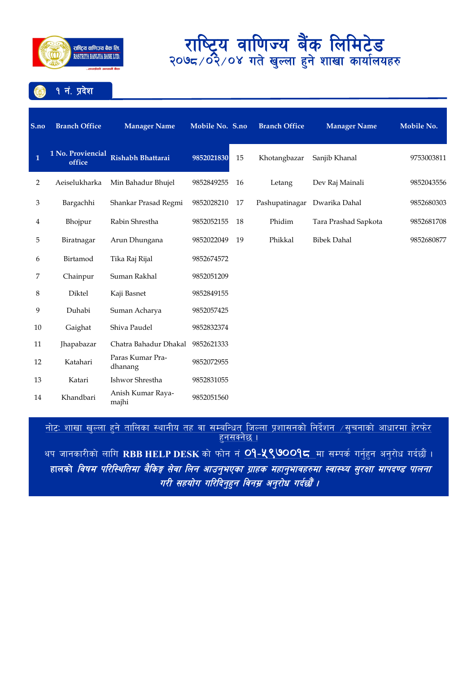

१ नं. प्रदेश

| S.no | <b>Branch Office</b>        | <b>Manager Name</b>         | Mobile No. S.no |    | <b>Branch Office</b> | <b>Manager Name</b>  | Mobile No. |
|------|-----------------------------|-----------------------------|-----------------|----|----------------------|----------------------|------------|
| 1    | 1 No. Proviencial<br>office | Rishabh Bhattarai           | 9852021830      | 15 | Khotangbazar         | Sanjib Khanal        | 9753003811 |
| 2    | Aeiselukharka               | Min Bahadur Bhujel          | 9852849255      | 16 | Letang               | Dev Raj Mainali      | 9852043556 |
| 3    | Bargachhi                   | Shankar Prasad Regmi        | 9852028210      | 17 | Pashupatinagar       | Dwarika Dahal        | 9852680303 |
| 4    | Bhojpur                     | Rabin Shrestha              | 9852052155      | 18 | Phidim               | Tara Prashad Sapkota | 9852681708 |
| 5    | Biratnagar                  | Arun Dhungana               | 9852022049      | 19 | Phikkal              | <b>Bibek Dahal</b>   | 9852680877 |
| 6    | Birtamod                    | Tika Raj Rijal              | 9852674572      |    |                      |                      |            |
| 7    | Chainpur                    | Suman Rakhal                | 9852051209      |    |                      |                      |            |
| 8    | Diktel                      | Kaji Basnet                 | 9852849155      |    |                      |                      |            |
| 9    | Duhabi                      | Suman Acharya               | 9852057425      |    |                      |                      |            |
| 10   | Gaighat                     | Shiva Paudel                | 9852832374      |    |                      |                      |            |
| 11   | Jhapabazar                  | Chatra Bahadur Dhakal       | 9852621333      |    |                      |                      |            |
| 12   | Katahari                    | Paras Kumar Pra-<br>dhanang | 9852072955      |    |                      |                      |            |
| 13   | Katari                      | Ishwor Shrestha             | 9852831055      |    |                      |                      |            |
| 14   | Khandbari                   | Anish Kumar Raya-<br>majhi  | 9852051560      |    |                      |                      |            |

<u>नाटः शाखा खुल्ला हुन ताालका स्थानाय तह वा सम्बान्धत् जिल्ला प्रशासनका निदेशन ⁄सुचनाका आधारमा हरफर </u> <u>हुनसक्नछ ।</u>

थप जानकारीको लागि RBB HELP DESK को फोन नं <mark>O9-<mark>५९७</mark>00<mark>9८</mark> मा सम्पर्क गर्नुहुन अनुरोध गर्दछौं ।</mark> हालको *विषम परिस्थितिमा बैकिङ्ग सेवा लिन आउनुभएका ग्राहक महानुभावहरुमा स्वास्थ्य सुरक्षा मापदण्ड पालना* गरी सहयोग गरिदिनुहुन विनम्र अनुरोध गर्दछौं ।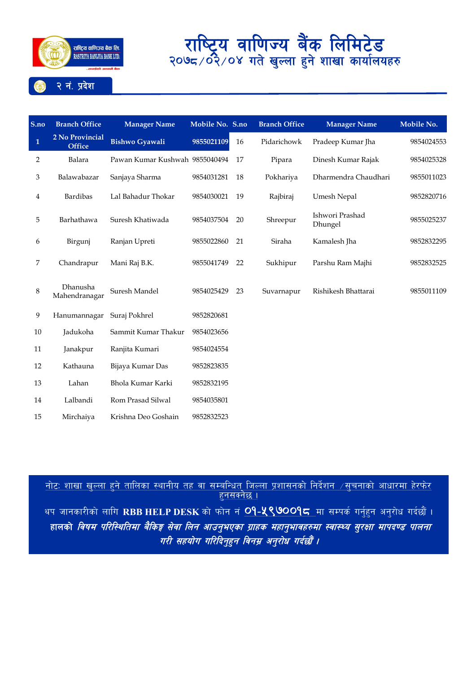

#### २ नं. प्रदेश

| S.no             | <b>Branch Office</b>             | <b>Manager Name</b>            | Mobile No. S.no |    | <b>Branch Office</b> | <b>Manager Name</b>        | Mobile No. |
|------------------|----------------------------------|--------------------------------|-----------------|----|----------------------|----------------------------|------------|
| $\mathbf{1}$     | 2 No Provincial<br><b>Office</b> | <b>Bishwo Gyawali</b>          | 9855021109      | 16 | Pidarichowk          | Pradeep Kumar Jha          | 9854024553 |
| $\sqrt{2}$       | Balara                           | Pawan Kumar Kushwah 9855040494 |                 | 17 | Pipara               | Dinesh Kumar Rajak         | 9854025328 |
| 3                | Balawabazar                      | Sanjaya Sharma                 | 9854031281      | 18 | Pokhariya            | Dharmendra Chaudhari       | 9855011023 |
| 4                | Bardibas                         | Lal Bahadur Thokar             | 9854030021      | 19 | Rajbiraj             | Umesh Nepal                | 9852820716 |
| 5                | Barhathawa                       | Suresh Khatiwada               | 9854037504      | 20 | Shreepur             | Ishwori Prashad<br>Dhungel | 9855025237 |
| 6                | Birgunj                          | Ranjan Upreti                  | 9855022860      | 21 | Siraha               | Kamalesh Jha               | 9852832295 |
| $\boldsymbol{7}$ | Chandrapur                       | Mani Raj B.K.                  | 9855041749      | 22 | Sukhipur             | Parshu Ram Majhi           | 9852832525 |
| $\,8\,$          | Dhanusha<br>Mahendranagar        | Suresh Mandel                  | 9854025429      | 23 | Suvarnapur           | Rishikesh Bhattarai        | 9855011109 |
| $\overline{9}$   | Hanumannagar                     | Suraj Pokhrel                  | 9852820681      |    |                      |                            |            |
| 10               | Jadukoha                         | Sammit Kumar Thakur            | 9854023656      |    |                      |                            |            |
| 11               | Janakpur                         | Ranjita Kumari                 | 9854024554      |    |                      |                            |            |
| 12               | Kathauna                         | Bijaya Kumar Das               | 9852823835      |    |                      |                            |            |
| 13               | Lahan                            | Bhola Kumar Karki              | 9852832195      |    |                      |                            |            |
| 14               | Lalbandi                         | Rom Prasad Silwal              | 9854035801      |    |                      |                            |            |
| 15               | Mirchaiva                        | Krishna Deo Goshain            | 9852832523      |    |                      |                            |            |

<u>नोटः शाखा खल्ला हने तालिका स्थानीय तह वा सम्बन्धित जिल्ला प्रशासनको निर्देशन  $\neq$ सूचनाको आधारमा हेरफेर</u> x"g;Sg]% . थप जानकारीको लागि RBB HELP DESK को फोन नं <mark>O9-५९७००१८</mark> मा सम्पर्क गर्नुहन अनुरोध गर्दछौं । हालको *विषम परिस्थितिमा बैकिङ्ग सेवा लिन आउनुभएका ग्राहक महानुभावहरुमा स्वास्थ्य सुरक्षा मापदण्ड पालना* गरी सहयोग गरिदिनुहुन विनम्र अनुरोध गर्दछौं ।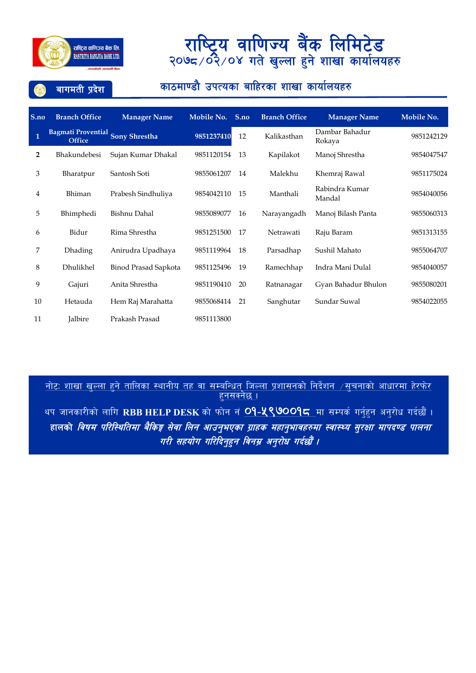

बागमती प्रदेश

#### काठमाण्डौ उपत्यका बाहिरका शाखा कार्यालयहरु

| S.no           | <b>Branch Office</b>                              | <b>Manager Name</b>  | Mobile No. | S.no | <b>Branch Office</b> | <b>Manager Name</b>      | Mobile No. |
|----------------|---------------------------------------------------|----------------------|------------|------|----------------------|--------------------------|------------|
| $\mathbf{1}$   | Bagmati Provential Sony Shrestha<br><b>Office</b> |                      | 9851237410 | 12   | Kalikasthan          | Dambar Bahadur<br>Rokaya | 9851242129 |
| $\overline{2}$ | Bhakundebesi                                      | Sujan Kumar Dhakal   | 9851120154 | 13   | Kapilakot            | Manoj Shrestha           | 9854047547 |
| 3              | Bharatpur                                         | Santosh Soti         | 9855061207 | 14   | Malekhu              | Khemraj Rawal            | 9851175024 |
| 4              | Bhiman                                            | Prabesh Sindhuliya   | 9854042110 | 15   | Manthali             | Rabindra Kumar<br>Mandal | 9854040056 |
| 5              | Bhimphedi                                         | Bishnu Dahal         | 9855089077 | 16   | Narayangadh          | Manoj Bilash Panta       | 9855060313 |
| 6              | Bidur                                             | Rima Shrestha        | 9851251500 | 17   | Netrawati            | Raju Baram               | 9851313155 |
| 7              | Dhading                                           | Anirudra Upadhaya    | 9851119964 | 18   | Parsadhap            | Sushil Mahato            | 9855064707 |
| 8              | Dhulikhel                                         | Binod Prasad Sapkota | 9851125496 | 19   | Ramechhap            | Indra Mani Dulal         | 9854040057 |
| 9              | Gajuri                                            | Anita Shrestha       | 9851190410 | 20   | Ratnanagar           | Gyan Bahadur Bhulon      | 9855080201 |
| 10             | Hetauda                                           | Hem Raj Marahatta    | 9855068414 | 21   | Sanghutar            | Sundar Suwal             | 9854022055 |
| 11             | <b>J</b> albire                                   | Prakash Prasad       | 9851113800 |      |                      |                          |            |

<u>नाटः शाखा खुल्ला हुन ताालका स्थानाय तह वा सम्बान्धत् जिल्ला प्रशासनका निदेशन ⁄सुचनाका आधारमा हरफर </u> <u>हुनसक्नछ ।</u>

थप जानकारीको लागि RBB HELP DESK को फोन नं <mark>O9-<mark>५९७</mark>00<mark>9८</mark> मा सम्पर्क गर्नुहुन अनुरोध गर्दछौं ।</mark> हालको *विषम परिस्थितिमा बैकिङ्ग सेवा लिन आउनुभएका ग्राहक महानुभावहरुमा स्वास्थ्य सुरक्षा मापदण्ड पालना* गरी सहयोग गरिदिनुहन विनम्र अनुरोध गर्दछौं ।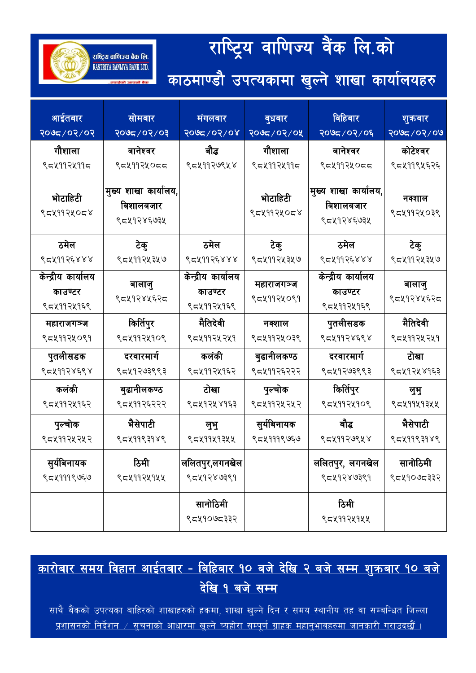## राष्ट्रिय वाणिज्य वैंक लि.को

काठमाण्डौ उपत्यकामा खुल्ने शाखा कार्यालयहरु

राष्ट्रिय वाणिज्य बैंक लि. RASTRIYA BANLIYA BANK LTD.

| आईतबार<br>२०७८/०२/०२                        | सोमबार<br>१०७८/०२/०३                            | मंगलबार<br>$20/20$ / $20/2$                 | बुधबार<br>२०७८/०२/०५     | विहिबार<br>२०७८/०२/०६                           | शुक्रबार<br>२०७८/०२/०७ |
|---------------------------------------------|-------------------------------------------------|---------------------------------------------|--------------------------|-------------------------------------------------|------------------------|
| गौशाला<br>९८५११२५११८                        | बानेश्वर<br>९८५११२५०८८                          | बौद्ध<br>९८५११२७९५४                         | गौशाला<br>९८५११२५११८     | बानेश्वर<br>९द५११२५०दद                          | कोटेश्वर<br>९८४११९५६२६ |
| भोटाहिटी<br>९८५११२५०८४                      | मुख्य शाखा कार्यालय,<br>बिशालबजार<br>९८५१२४६७३५ |                                             | भोटाहिटी<br>९८५११२५०८४   | मुख्य शाखा कार्यालय,<br>बिशालबजार<br>९८५१२४६७३५ | नक्शाल<br>९८५११२५०३९   |
| ठमेल                                        | टेकु                                            | ठमेल                                        | टेकु                     | ठमेल                                            | टेकु                   |
| ९८५११२६४४४                                  | ९८५११२५३५७                                      | ९८४११२६४४४                                  | ९८५११२५३५७               | ९८५११२६४४४                                      | ९८५११२५३५७             |
| केन्द्रीय कार्यालय<br>काउण्टर<br>९८४११२५१६९ | बालाजु<br>९८५१२४५६२८                            | केन्द्रीय कार्यालय<br>काउण्टर<br>९८५११२५१६९ | महाराजगञ्ज<br>९८५११२५०९१ | केन्द्रीय कार्यालय<br>काउण्टर<br>९८५११२५१६९     | बालाजु<br>९८५१२४५६२८   |
| महाराजगञ्ज                                  | किर्तिपुर                                       | मैतिदेवी                                    | नक्शाल                   | पुतलीसडक                                        | मैतिदेवी               |
| ९८५११२५०९१                                  | ९८५११२५१०९                                      | ९८४११२५२५१                                  | ९८५११२५०३९               | ९८५११२४६९४                                      | ९८४११२५२५१             |
| पुतलीसडक                                    | दरवारमार्ग                                      | कलंकी                                       | बुढानीलकण्ठ              | दरवारमार्ग                                      | टोखा                   |
| ९८५११२४६९४                                  | ९८५१२७३९९३                                      | ९८४११२५१६२                                  | ९८५११२६२२२               | ९८५१२७३९९३                                      | ९८५१२५४१६३             |
| कलंकी                                       | बुढानीलकण्ठ                                     | टोखा                                        | पुल्चोक                  | किर्तिपुर                                       | लुभु                   |
| ९८४११२५१६२                                  | ९८५११२६२२२                                      | ९८५१२५४१६३                                  | ९८५११२५२५२               | ९८५११२५१०९                                      | ९८४११५१३५५             |
| पुल्चोक                                     | भैसेपाटी                                        | लुभु                                        | सुर्यविनायक              | बौद्ध                                           | भैसेपाटी               |
| ९८५११२५२५२                                  | ९८५११९३१४९                                      | ९८४११५१३५५                                  | ९८४१११९७६७               | ९८५११२७९५४                                      | ९८५११९३१४९             |
| सुर्यविनायक<br>९८५१११९७६७                   | ठिमी<br>९८४११२५१५५                              | ललितपुर,लगनखेल<br>९८५१२४७३९१                |                          | ललितपुर, लगनखेल<br>९८५१२४७३९१                   | सानोठिमी<br>९८५१०७८३३२ |
|                                             |                                                 | सानोठिमी<br>९८५१०७८३३२                      |                          | ठिमी<br>९८४११२५१५५                              |                        |

#### <u>कारोबार समय विहान आईतबार - बिहिबार १० बजे देखि २ बजे सम्म शुक्रबार १० बजे</u> देखि १ बजे सम्म

साथै बैंकको उपत्यका बाहिरको शाखाहरुको हकमा, शाखा खल्ने दिन र समय स्थानीय तह वा सम्बन्धित जिल्ला प्रशासनको निर्देशन / सूचनाको आधारमा खुल्ने व्यहोरा सम्पूर्ण ग्राहक महानुभावहरुमा जानकारी गराउदछौं ।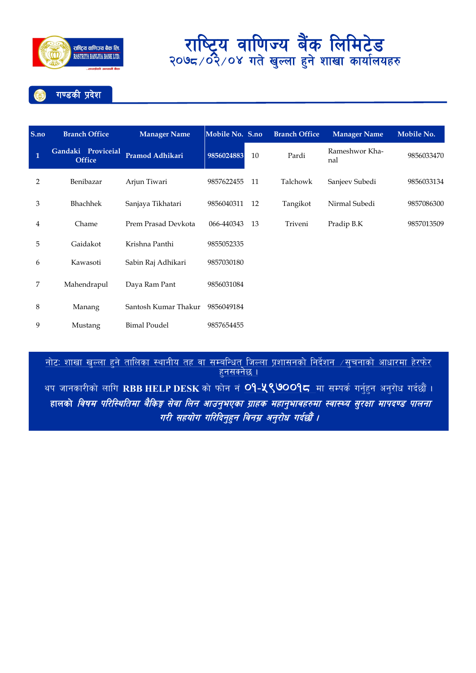

गण्डकी प्रदेश

| S.no         | <b>Branch Office</b>                | <b>Manager Name</b>  | Mobile No. S.no |    | <b>Branch Office</b> | <b>Manager Name</b>   | Mobile No. |
|--------------|-------------------------------------|----------------------|-----------------|----|----------------------|-----------------------|------------|
| $\mathbf{1}$ | Gandaki Proviceial<br><b>Office</b> | Pramod Adhikari      | 9856024883      | 10 | Pardi                | Rameshwor Kha-<br>nal | 9856033470 |
| 2            | Benibazar                           | Arjun Tiwari         | 9857622455      | 11 | Talchowk             | Sanjeev Subedi        | 9856033134 |
| 3            | <b>Bhachhek</b>                     | Sanjaya Tikhatari    | 9856040311      | 12 | Tangikot             | Nirmal Subedi         | 9857086300 |
| 4            | Chame                               | Prem Prasad Devkota  | 066-440343      | 13 | Triveni              | Pradip B.K            | 9857013509 |
| 5            | Gaidakot                            | Krishna Panthi       | 9855052335      |    |                      |                       |            |
| 6            | Kawasoti                            | Sabin Raj Adhikari   | 9857030180      |    |                      |                       |            |
| 7            | Mahendrapul                         | Daya Ram Pant        | 9856031084      |    |                      |                       |            |
| 8            | Manang                              | Santosh Kumar Thakur | 9856049184      |    |                      |                       |            |
| 9            | Mustang                             | <b>Bimal Poudel</b>  | 9857654455      |    |                      |                       |            |

<u>नाटः शाखा खुल्ला हुन ताालका स्थानाय तह वा सम्बान्धत् जिल्ला प्रशासनका निदशन ⁄सुचनाका आधारमा हरफर</u> । <u>हुनसक्नछ ।</u> थप जानकारीको लागि RBB HELP DESK को फोन नं <mark>O9-५९७OO9८</mark> मा सम्पर्क गर्नुहुन अनुरोध गर्दछौं । हालको *विषम परिस्थितिमा बैकिङ्ग सेवा लिन आउनुभएका ग्राहक महानुभावहरुमा स्वास्थ्य सुरक्षा मापदण्ड पालना* गरी सहयोग गरिदिनुहुन विनम्र अनुरोध गर्दछौं ।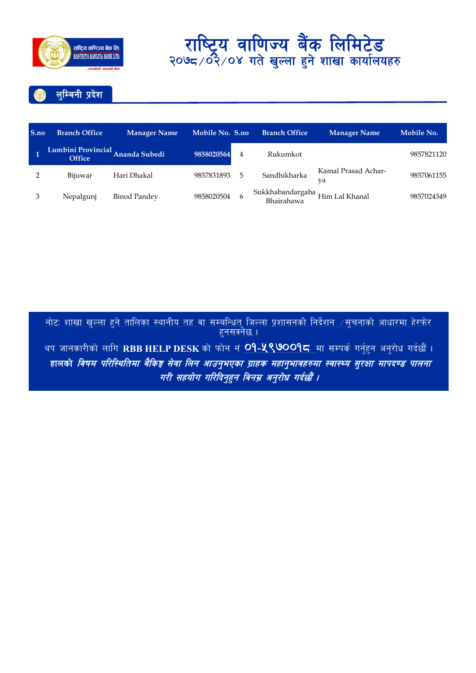

# राष्ट्रिय वाणिज्य बैंक लिमिटेड<br>२०७८/०२/०४ गते खुल्ला हुने शाखा कार्यालयहरु



| S.no           | <b>Branch Office</b>         | <b>Manager Name</b> | Mobile No. S.no |    | <b>Branch Office</b>                         | <b>Manager Name</b>       | Mobile No. |
|----------------|------------------------------|---------------------|-----------------|----|----------------------------------------------|---------------------------|------------|
|                | Lumbini Provincial<br>Office | Ananda Subedi       | 9858020564      | 4  | Rukumkot                                     |                           | 9857821120 |
| $\overline{2}$ | Bijuwar                      | Hari Dhakal         | 9857831893      | 5. | Sandhikharka                                 | Kamal Prasad Achar-<br>va | 9857061155 |
| 3              | Nepalgunj                    | <b>Binod Pandey</b> | 9858020504      |    | Sukkhabandargaha<br>Bhairahawa<br>Bhairahawa |                           | 9857024349 |

<u>नोटः शाखा खुल्ला हुने तालिका स्थानीय तह वा सम्बन्धित जिल्ला प्रशासनको निर्देशन ⁄सुचनाको आधारमा हेरफेर </u><br>हुनसक्नेछ । थप जानकारीको लागि RBB HELP DESK को फोन नं <mark>O9-<mark>५९७</mark>००१८ मा सम्पर्क गर्नुहुन अनुरोध गर्दछौं ।</mark> हालको *विषम् परिस्थितिमा बैकिङ्ग सेवा लिन आउनुभएका ग्राहक महानुभावहरुमा स्वास्थ्य सुरक्षा मापदण्ड पालना* गरी सहयोग गरिदिनुहुन विनम्र अनुरोध गर्दछौं ।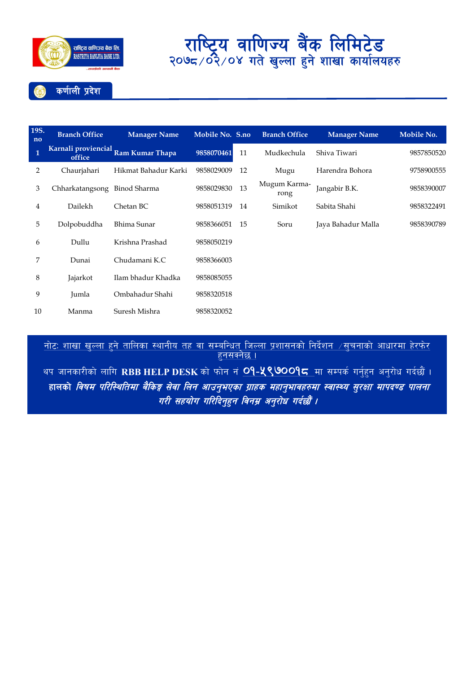

#### कर्णाली प्रदेश

| 19S.<br>no     | <b>Branch Office</b> | <b>Manager Name</b>                 | Mobile No. S.no |    | <b>Branch Office</b> | <b>Manager Name</b> | Mobile No. |
|----------------|----------------------|-------------------------------------|-----------------|----|----------------------|---------------------|------------|
| $\overline{1}$ | office               | Karnali proviencial Ram Kumar Thapa | 9858070461      | 11 | Mudkechula           | Shiva Tiwari        | 9857850520 |
| 2              | Chaurjahari          | Hikmat Bahadur Karki                | 9858029009      | 12 | Mugu                 | Harendra Bohora     | 9758900555 |
| 3              | Chharkatangsong      | Binod Sharma                        | 9858029830      | 13 | Mugum Karma-<br>rong | Jangabir B.K.       | 9858390007 |
| 4              | Dailekh              | Chetan BC                           | 9858051319      | 14 | Simikot              | Sabita Shahi        | 9858322491 |
| 5              | Dolpobuddha          | Bhima Sunar                         | 9858366051      | 15 | Soru                 | Jaya Bahadur Malla  | 9858390789 |
| 6              | Dullu                | Krishna Prashad                     | 9858050219      |    |                      |                     |            |
| 7              | Dunai                | Chudamani K.C                       | 9858366003      |    |                      |                     |            |
| 8              | Jajarkot             | Ilam bhadur Khadka                  | 9858085055      |    |                      |                     |            |
| 9              | Jumla                | Ombahadur Shahi                     | 9858320518      |    |                      |                     |            |
| 10             | Manma                | Suresh Mishra                       | 9858320052      |    |                      |                     |            |

<u>नोटः शाखा खल्ला हने तालिका स्थानीय तह वा सम्बन्धित जिल्ला प्रशासनको निर्देशन  $\neq$ सूचनाको आधारमा हेरफेर </u> <u>हनसक्नेछ ।</u> थप जानकारीको लागि RBB HELP DESK को फोन नं <mark>O9-५९७OO9८</mark> मा सम्पर्क गर्नुहुन अनुरोध गर्दछौं । हालको *विषम परिस्थितिमा बैकिङ्ग सेवा लिन आउनुभएका ग्राहक महानुभावहरुमा स्वास्थ्य सुरक्षा मापदण्ड पालना* 

गरी सहयोग गरिदिनुहुन विनम्र अनुरोध गर्दछौं ।